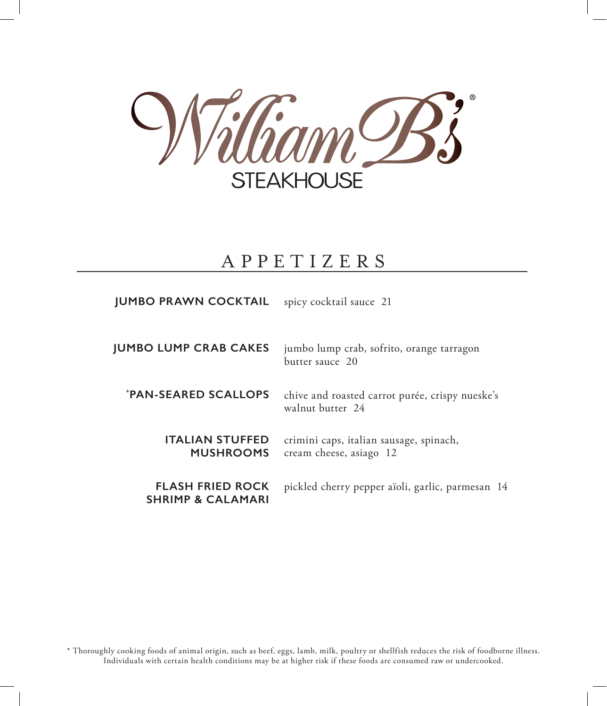

# APPETIZERS

spicy cocktail sauce 21 **JUMBO PRAWN COCKTAIL**

jumbo lump crab, sofrito, orange tarragon butter sauce 20 **JUMBO LUMP CRAB CAKES**

chive and roasted carrot purée, crispy nueske's walnut butter 24 **\* PAN-SEARED SCALLOPS**

crimini caps, italian sausage, spinach, cream cheese, asiago 12 **ITALIAN STUFFED MUSHROOMS**

pickled cherry pepper aïoli, garlic, parmesan 14 **FLASH FRIED ROCK SHRIMP & CALAMARI**

\* Thoroughly cooking foods of animal origin, such as beef, eggs, lamb, milk, poultry or shellfish reduces the risk of foodborne illness. Individuals with certain health conditions may be at higher risk if these foods are consumed raw or undercooked.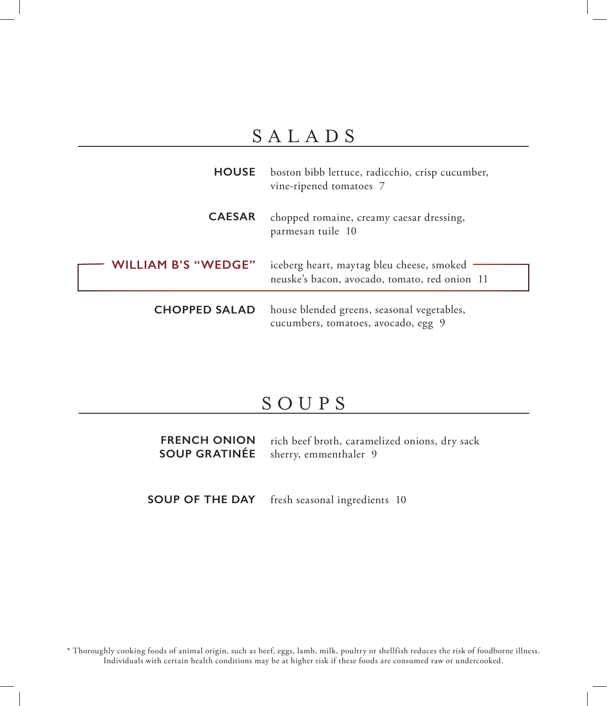# SALADS

|                          | <b>HOUSE</b> boston bibb lettuce, radicchio, crisp cucumber,<br>vine-ripened tomatoes 7    |
|--------------------------|--------------------------------------------------------------------------------------------|
| <b>CAESAR</b>            | chopped romaine, creamy caesar dressing,<br>parmesan tuile 10                              |
| <b>LLIAM B'S "WEDGE"</b> | iceberg heart, maytag bleu cheese, smoked<br>neuske's bacon, avocado, tomato, red onion 11 |
| <b>CHOPPED SALAD</b>     | house blended greens, seasonal vegetables,<br>cucumbers, tomatoes, avocado, egg 9          |

#### SOUPS

rich beef broth, caramelized onions, dry sack sherry, emmenthaler 9 **FRENCH ONION SOUP GRATINÉE**

fresh seasonal ingredients 10 **SOUP OF THE DAY**

\* Thoroughly cooking foods of animal origin, such as beef, eggs, lamb, milk, poultry or shellfish reduces the risk of foodborne illness. Individuals with certain health conditions may be at higher risk if these foods are consumed raw or undercooked.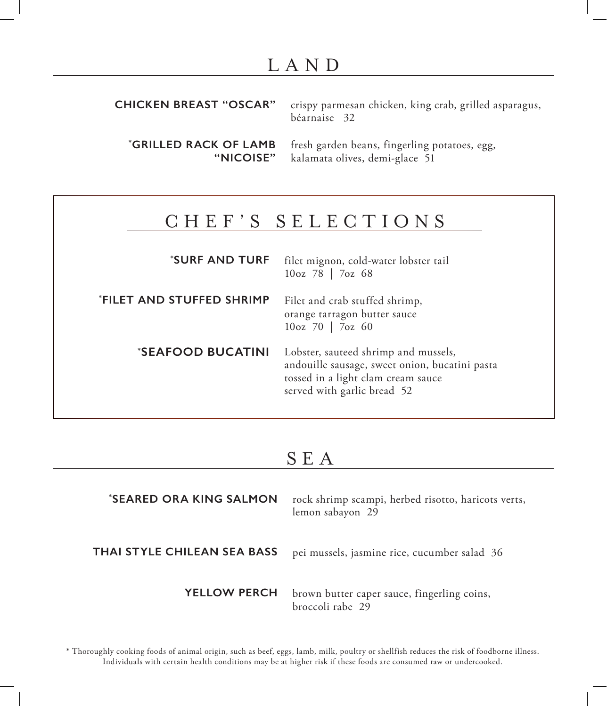## LAND

| <b>CHICKEN BREAST "OSCAR"</b> crispy parmesan chicken, king crab, grilled asparagus,<br>béarnaise 32 |
|------------------------------------------------------------------------------------------------------|
|                                                                                                      |

**\* GRILLED RACK OF LAMB "NICOISE"** fresh garden beans, fingerling potatoes, egg, kalamata olives, demi-glace 51

## CHEF'S SELECTIONS

filet mignon, cold-water lobster tail 10oz 78 | 7oz 68 **\* SURF AND TURF**

Filet and crab stuffed shrimp, orange tarragon butter sauce 10oz 70 | 7oz 60 **\* FILET AND STUFFED SHRIMP**

**\* SEAFOOD BUCATINI**

Lobster, sauteed shrimp and mussels, andouille sausage, sweet onion, bucatini pasta tossed in a light clam cream sauce served with garlic bread 52

#### SEA

| <i><b>*SEARED ORA KING SALMON</b></i> | rock shrimp scampi, herbed risotto, haricots verts,<br>lemon sabayon 29 |
|---------------------------------------|-------------------------------------------------------------------------|
| THAI STYLE CHILEAN SEA BASS           | pei mussels, jasmine rice, cucumber salad 36                            |
| <b>YELLOW PERCH</b>                   | brown butter caper sauce, fingerling coins,<br>broccoli rabe 29         |

\* Thoroughly cooking foods of animal origin, such as beef, eggs, lamb, milk, poultry or shellfish reduces the risk of foodborne illness. Individuals with certain health conditions may be at higher risk if these foods are consumed raw or undercooked.